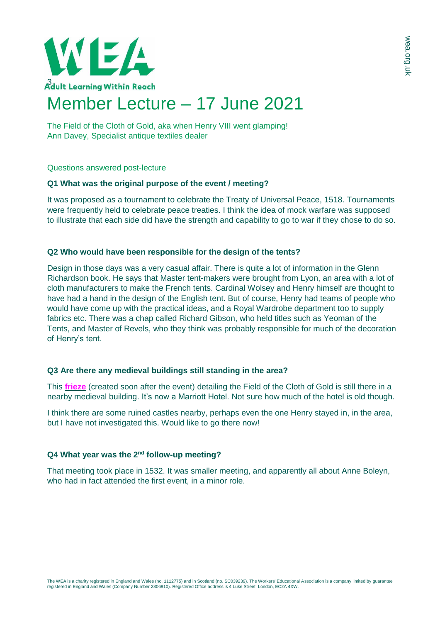

The Field of the Cloth of Gold, aka when Henry VIII went glamping! Ann Davey, Specialist antique textiles dealer

Questions answered post-lecture

### **Q1 What was the original purpose of the event / meeting?**

It was proposed as a tournament to celebrate the Treaty of Universal Peace, 1518. Tournaments were frequently held to celebrate peace treaties. I think the idea of mock warfare was supposed to illustrate that each side did have the strength and capability to go to war if they chose to do so.

# **Q2 Who would have been responsible for the design of the tents?**

Design in those days was a very casual affair. There is quite a lot of information in the Glenn Richardson book. He says that Master tent-makers were brought from Lyon, an area with a lot of cloth manufacturers to make the French tents. Cardinal Wolsey and Henry himself are thought to have had a hand in the design of the English tent. But of course, Henry had teams of people who would have come up with the practical ideas, and a Royal Wardrobe department too to supply fabrics etc. There was a chap called Richard Gibson, who held titles such as Yeoman of the Tents, and Master of Revels, who they think was probably responsible for much of the decoration of Henry's tent.

### **Q3 Are there any medieval buildings still standing in the area?**

This **[frieze](https://www.gettyimages.dk/detail/news-photo/meeting-of-henry-viii-and-francis-i-at-the-field-of-cloth-news-photo/463967299)** (created soon after the event) detailing the Field of the Cloth of Gold is still there in a nearby medieval building. It's now a Marriott Hotel. Not sure how much of the hotel is old though.

I think there are some ruined castles nearby, perhaps even the one Henry stayed in, in the area, but I have not investigated this. Would like to go there now!

# **Q4 What year was the 2nd follow-up meeting?**

That meeting took place in 1532. It was smaller meeting, and apparently all about Anne Boleyn, who had in fact attended the first event, in a minor role.